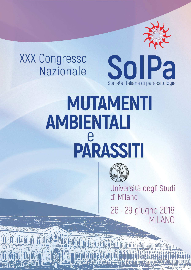## **XXX Congresso** Nazionale



## MUTAMENTI **AMBIENTALI** PARASSIT



Università degli Studi di Milano

26 · 29 giugno 2018 MILANO